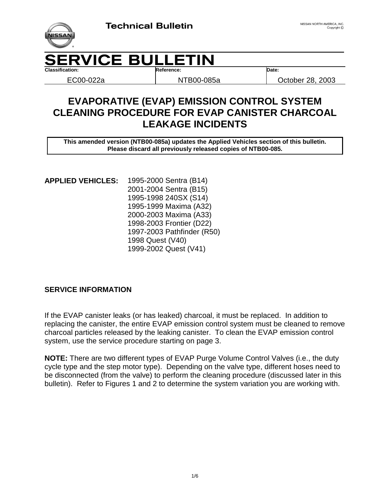

## **ERVICE BULLETIN Classification: Reference: Date:**

EC00-022a NTB00-085a October 28, 2003

# **EVAPORATIVE (EVAP) EMISSION CONTROL SYSTEM CLEANING PROCEDURE FOR EVAP CANISTER CHARCOAL LEAKAGE INCIDENTS**

**This amended version (NTB00-085a) updates the Applied Vehicles section of this bulletin. Please discard all previously released copies of NTB00-085.**

1995-2000 Sentra (B14) 2001-2004 Sentra (B15) 1995-1998 240SX (S14) 1995-1999 Maxima (A32) 2000-2003 Maxima (A33) 1998-2003 Frontier (D22) 1997-2003 Pathfinder (R50) 1998 Quest (V40) **APPLIED VEHICLES:** 1999-2002 Quest (V41)

### **SERVICE INFORMATION**

If the EVAP canister leaks (or has leaked) charcoal, it must be replaced. In addition to replacing the canister, the entire EVAP emission control system must be cleaned to remove charcoal particles released by the leaking canister. To clean the EVAP emission control system, use the service procedure starting on page 3.

**NOTE:** There are two different types of EVAP Purge Volume Control Valves (i.e., the duty cycle type and the step motor type). Depending on the valve type, different hoses need to be disconnected (from the valve) to perform the cleaning procedure (discussed later in this bulletin). Refer to Figures 1 and 2 to determine the system variation you are working with.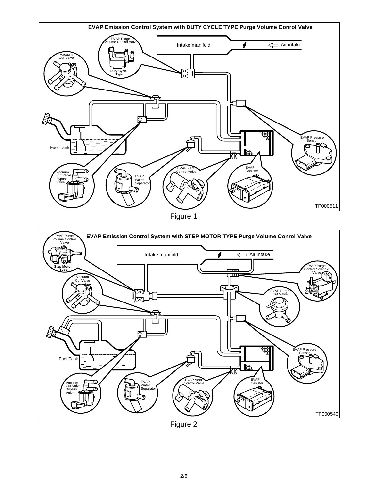

Figure 1



Figure 2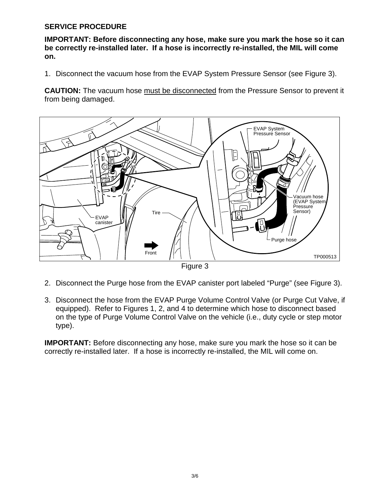#### **SERVICE PROCEDURE**

**IMPORTANT: Before disconnecting any hose, make sure you mark the hose so it can be correctly re-installed later. If a hose is incorrectly re-installed, the MIL will come on.**

1. Disconnect the vacuum hose from the EVAP System Pressure Sensor (see Figure 3).

**CAUTION:** The vacuum hose must be disconnected from the Pressure Sensor to prevent it from being damaged.



Figure 3

- 2. Disconnect the Purge hose from the EVAP canister port labeled "Purge" (see Figure 3).
- 3. Disconnect the hose from the EVAP Purge Volume Control Valve (or Purge Cut Valve, if equipped). Refer to Figures 1, 2, and 4 to determine which hose to disconnect based on the type of Purge Volume Control Valve on the vehicle (i.e., duty cycle or step motor type).

**IMPORTANT:** Before disconnecting any hose, make sure you mark the hose so it can be correctly re-installed later. If a hose is incorrectly re-installed, the MIL will come on.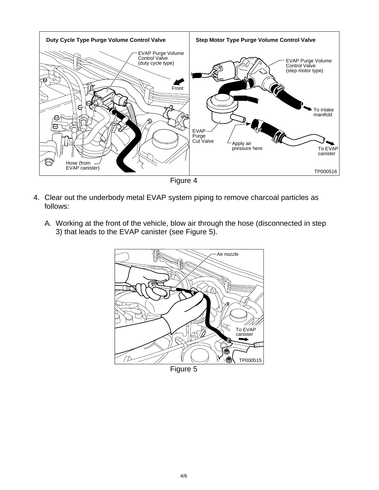

Figure 4

- 4. Clear out the underbody metal EVAP system piping to remove charcoal particles as follows:
	- A. Working at the front of the vehicle, blow air through the hose (disconnected in step 3) that leads to the EVAP canister (see Figure 5).



Figure 5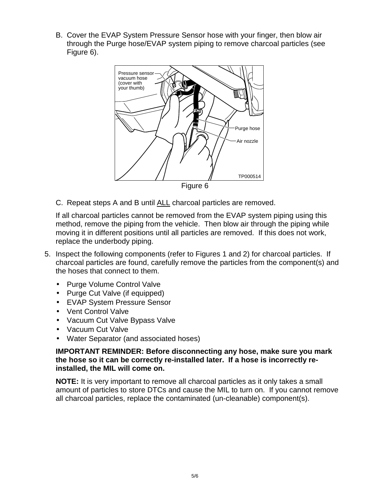B. Cover the EVAP System Pressure Sensor hose with your finger, then blow air through the Purge hose/EVAP system piping to remove charcoal particles (see Figure 6).



C. Repeat steps A and B until ALL charcoal particles are removed.

If all charcoal particles cannot be removed from the EVAP system piping using this method, remove the piping from the vehicle. Then blow air through the piping while moving it in different positions until all particles are removed. If this does not work, replace the underbody piping.

- 5. Inspect the following components (refer to Figures 1 and 2) for charcoal particles. If charcoal particles are found, carefully remove the particles from the component(s) and the hoses that connect to them.
	- Purge Volume Control Valve
	- Purge Cut Valve (if equipped)
	- EVAP System Pressure Sensor
	- Vent Control Valve
	- Vacuum Cut Valve Bypass Valve
	- Vacuum Cut Valve
	- Water Separator (and associated hoses)

#### **IMPORTANT REMINDER: Before disconnecting any hose, make sure you mark the hose so it can be correctly re-installed later. If a hose is incorrectly reinstalled, the MIL will come on.**

**NOTE:** It is very important to remove all charcoal particles as it only takes a small amount of particles to store DTCs and cause the MIL to turn on. If you cannot remove all charcoal particles, replace the contaminated (un-cleanable) component(s).